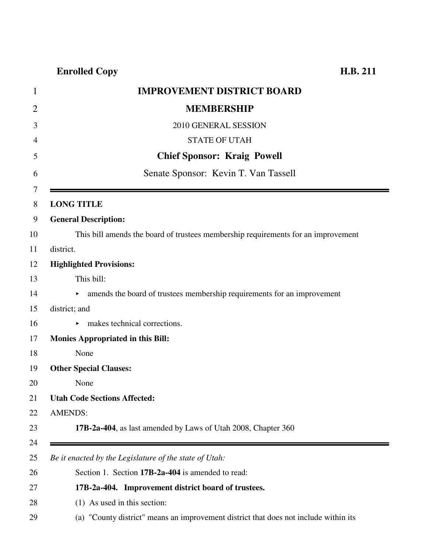### **Enrolled Copy H.B. 211**

| $\mathbf{1}$ | <b>IMPROVEMENT DISTRICT BOARD</b>                                                 |
|--------------|-----------------------------------------------------------------------------------|
| 2            | <b>MEMBERSHIP</b>                                                                 |
| 3            | 2010 GENERAL SESSION                                                              |
| 4            | <b>STATE OF UTAH</b>                                                              |
| 5            | <b>Chief Sponsor: Kraig Powell</b>                                                |
| 6            | Senate Sponsor: Kevin T. Van Tassell                                              |
| 7<br>8       | <b>LONG TITLE</b>                                                                 |
| 9            | <b>General Description:</b>                                                       |
| 10           | This bill amends the board of trustees membership requirements for an improvement |
| 11           | district.                                                                         |
| 12           | <b>Highlighted Provisions:</b>                                                    |
| 13           | This bill:                                                                        |
| 14           | A amends the board of trustees membership requirements for an improvement         |
| 15           | district; and                                                                     |
| 16           | makes technical corrections.                                                      |
| 17           | <b>Monies Appropriated in this Bill:</b>                                          |
| 18           | None                                                                              |
| 19           | <b>Other Special Clauses:</b>                                                     |
| 20           | None                                                                              |
| 21           | <b>Utah Code Sections Affected:</b>                                               |
| 22           | <b>AMENDS:</b>                                                                    |
| 23           | 17B-2a-404, as last amended by Laws of Utah 2008, Chapter 360                     |
| 24<br>25     | Be it enacted by the Legislature of the state of Utah:                            |
| 26           | Section 1. Section 17B-2a-404 is amended to read:                                 |
| 27           | 17B-2a-404. Improvement district board of trustees.                               |
| 28           | (1) As used in this section:                                                      |

29 (a) "County district" means an improvement district that does not include within its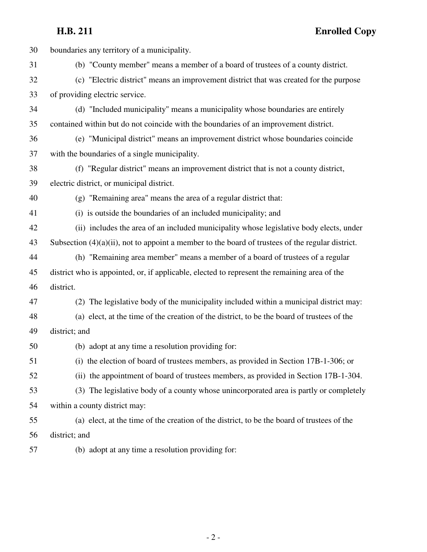**H.B. 211 Enrolled Copy**

| 30 | boundaries any territory of a municipality.                                                         |
|----|-----------------------------------------------------------------------------------------------------|
| 31 | (b) "County member" means a member of a board of trustees of a county district.                     |
| 32 | (c) "Electric district" means an improvement district that was created for the purpose              |
| 33 | of providing electric service.                                                                      |
| 34 | (d) "Included municipality" means a municipality whose boundaries are entirely                      |
| 35 | contained within but do not coincide with the boundaries of an improvement district.                |
| 36 | (e) "Municipal district" means an improvement district whose boundaries coincide                    |
| 37 | with the boundaries of a single municipality.                                                       |
| 38 | (f) "Regular district" means an improvement district that is not a county district,                 |
| 39 | electric district, or municipal district.                                                           |
| 40 | (g) "Remaining area" means the area of a regular district that:                                     |
| 41 | (i) is outside the boundaries of an included municipality; and                                      |
| 42 | (ii) includes the area of an included municipality whose legislative body elects, under             |
| 43 | Subsection $(4)(a)(ii)$ , not to appoint a member to the board of trustees of the regular district. |
| 44 | (h) "Remaining area member" means a member of a board of trustees of a regular                      |
| 45 | district who is appointed, or, if applicable, elected to represent the remaining area of the        |
| 46 | district.                                                                                           |
| 47 | (2) The legislative body of the municipality included within a municipal district may:              |
| 48 | (a) elect, at the time of the creation of the district, to be the board of trustees of the          |
| 49 | district; and                                                                                       |
| 50 | (b) adopt at any time a resolution providing for:                                                   |
| 51 | (i) the election of board of trustees members, as provided in Section 17B-1-306; or                 |
| 52 | (ii) the appointment of board of trustees members, as provided in Section 17B-1-304.                |
| 53 | (3) The legislative body of a county whose unincorporated area is partly or completely              |
| 54 | within a county district may:                                                                       |
| 55 | (a) elect, at the time of the creation of the district, to be the board of trustees of the          |
| 56 | district; and                                                                                       |
| 57 | (b) adopt at any time a resolution providing for:                                                   |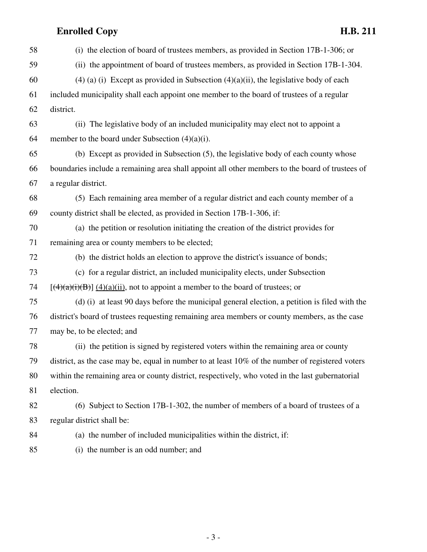# **Enrolled Copy H.B. 211**

| 58 | (i) the election of board of trustees members, as provided in Section 17B-1-306; or              |
|----|--------------------------------------------------------------------------------------------------|
| 59 | (ii) the appointment of board of trustees members, as provided in Section 17B-1-304.             |
| 60 | $(4)$ (a) (i) Except as provided in Subsection $(4)(a)(ii)$ , the legislative body of each       |
| 61 | included municipality shall each appoint one member to the board of trustees of a regular        |
| 62 | district.                                                                                        |
| 63 | (ii) The legislative body of an included municipality may elect not to appoint a                 |
| 64 | member to the board under Subsection $(4)(a)(i)$ .                                               |
| 65 | (b) Except as provided in Subsection (5), the legislative body of each county whose              |
| 66 | boundaries include a remaining area shall appoint all other members to the board of trustees of  |
| 67 | a regular district.                                                                              |
| 68 | (5) Each remaining area member of a regular district and each county member of a                 |
| 69 | county district shall be elected, as provided in Section 17B-1-306, if:                          |
| 70 | (a) the petition or resolution initiating the creation of the district provides for              |
| 71 | remaining area or county members to be elected;                                                  |
| 72 | (b) the district holds an election to approve the district's issuance of bonds;                  |
| 73 | (c) for a regular district, an included municipality elects, under Subsection                    |
| 74 | $[(4)(a)(i)(B)]$ (4)(a)(ii), not to appoint a member to the board of trustees; or                |
| 75 | (d) (i) at least 90 days before the municipal general election, a petition is filed with the     |
| 76 | district's board of trustees requesting remaining area members or county members, as the case    |
| 77 | may be, to be elected; and                                                                       |
| 78 | (ii) the petition is signed by registered voters within the remaining area or county             |
| 79 | district, as the case may be, equal in number to at least 10% of the number of registered voters |
| 80 | within the remaining area or county district, respectively, who voted in the last gubernatorial  |
| 81 | election.                                                                                        |
| 82 | (6) Subject to Section 17B-1-302, the number of members of a board of trustees of a              |
| 83 | regular district shall be:                                                                       |
| 84 | (a) the number of included municipalities within the district, if:                               |
| 85 | (i) the number is an odd number; and                                                             |

- 3 -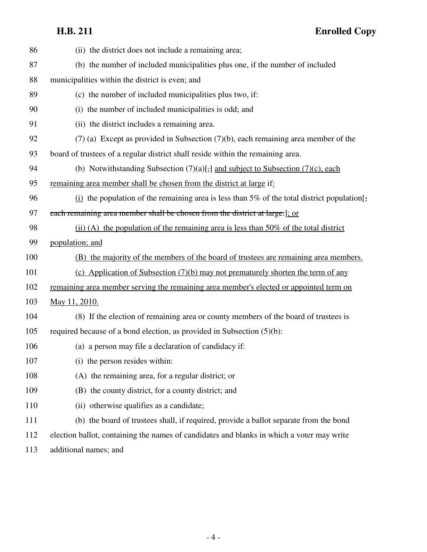# **H.B. 211 Enrolled Copy**

| 86  | (ii) the district does not include a remaining area;                                         |
|-----|----------------------------------------------------------------------------------------------|
| 87  | (b) the number of included municipalities plus one, if the number of included                |
| 88  | municipalities within the district is even; and                                              |
| 89  | (c) the number of included municipalities plus two, if:                                      |
| 90  | (i) the number of included municipalities is odd; and                                        |
| 91  | (ii) the district includes a remaining area.                                                 |
| 92  | $(7)$ (a) Except as provided in Subsection $(7)(b)$ , each remaining area member of the      |
| 93  | board of trustees of a regular district shall reside within the remaining area.              |
| 94  | (b) Notwithstanding Subsection $(7)(a)$ [;] and subject to Subsection $(7)(c)$ , each        |
| 95  | remaining area member shall be chosen from the district at large if:                         |
| 96  | $(i)$ the population of the remaining area is less than 5% of the total district population. |
| 97  | each remaining area member shall be chosen from the district at large.]; or                  |
| 98  | (ii) (A) the population of the remaining area is less than $50\%$ of the total district      |
| 99  | population; and                                                                              |
| 100 | (B) the majority of the members of the board of trustees are remaining area members.         |
| 101 | (c) Application of Subsection $(7)(b)$ may not prematurely shorten the term of any           |
| 102 | remaining area member serving the remaining area member's elected or appointed term on       |
| 103 | May 11, 2010.                                                                                |
| 104 | (8) If the election of remaining area or county members of the board of trustees is          |
| 105 | required because of a bond election, as provided in Subsection (5)(b):                       |
| 106 | (a) a person may file a declaration of candidacy if:                                         |
| 107 | (i) the person resides within:                                                               |
| 108 | (A) the remaining area, for a regular district; or                                           |
| 109 | (B) the county district, for a county district; and                                          |
| 110 | (ii) otherwise qualifies as a candidate;                                                     |
| 111 | (b) the board of trustees shall, if required, provide a ballot separate from the bond        |
| 112 | election ballot, containing the names of candidates and blanks in which a voter may write    |
| 113 | additional names; and                                                                        |
|     |                                                                                              |